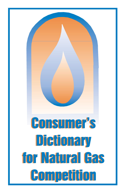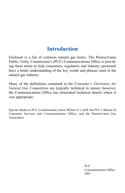## **Introduction**

Enclosed is a list of common natural gas terms. The Pennsylvania Public Utility Commission's (PUC) Communications Office is providing these terms to help consumers, regulators and industry personnel have a better understanding of the key words and phrases used in the natural gas industry.

Many of the definitions contained in the Consumer's Dictionary for Natural Gas Competition are typically technical in nature; however, the Communications Office has eliminated technical details where it was appropriate.

Special thanks to PUC Commissioner Aaron Wilson Jr.'s staff, the PUC's Bureau of Consumer Services and Communications Office, and the Pennsylvania Gas Association.

> PUC. Communications Office 2001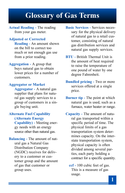# Glossary of Gas Terms

Actual Reading - The reading from your gas meter.

#### Adjusted or Corrected

Reading - An amount shown on the bill to correct too much or not enough gas use from a prior reading.

#### Aggregation - A group that

buys natural gas to obtain lower prices for a number of customers.

#### Aggregator or Market

Aggregator - A natural gas supplier that plans for natural gas supply services to a group of customers in a single buying unit.

### Alternate Fuel Capability (Alternate Energy

Capability) - Meeting energy needs with an energy source other than natural gas.

Balancing - The amount of natural gas a Natural Gas Distribution Company (NGDC) receives for delivery to a customer or customer group and the amount of gas that customer or group uses.

Basic Services - Services necessary for the physical delivery of natural gas to a retail customer, consisting of natural gas distribution services and natural gas supply services.

BTU - British Thermal Unit is the amount of heat required to raise the temperature of one pound of water by one degree Fahrenheit.

- Bundled pricing Two or more services offered at a single price.
- Burner tip The point at which natural gas is used, such as a furnace, water heater or range.
- Capacity The amount of natural gas transported within a specific period of time. The physical limits of a gas transportation system determines capacity. On the interstate transportation system, physical capacity is often divided among several parties, each party holding a contract for a specific quantity.
	- ccf 100 cubic feet of gas. This is a measure of gas usage.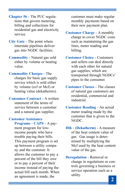Chapter 56 - The PUC regulations that govern metering, billing and collections for residential gas and electricity service.

- City Gate The point where interstate pipelines deliver gas into NGDC facilities.
- Commodity Natural gas sold either by volume or heating value.
- Commodity Charges The charges for basic gas supply service which is sold either by volume (ccf or Mcf) or heating value (dekatherms).

Consumer Contract - A written statement of the terms of service between a customer and a natural gas supplier.

#### Customer Assistance

Programs - CAPS - A payment program for lowincome people who have trouble paying their bills. This payment program is set up between a utility company and the customer. It allows the customer to pay a percent of the bill they owe or to pay a percent of their income instead of paying the actual bill each month. When an agreement is made, the

customer must make regular monthly payments based on their new payment plan.

- Customer Charge A monthly charge to cover NGDC costs such as maintaining the gas lines, meter reading and billing.
- Customer Choice Customers and sellers can deal directly with each other for natural gas supplies, which are transported through NGDCs' pipes to the consumer.
- Customer Classes The classes of natural gas customers are residential, commercial and industrial.
- Customer Reading An actual meter reading made by the customer that is given to the NGDC.
- Dth (Dekatherm) A measure of the heat content value of gas. Gas usage is determined by multiplying the Mcf used by the heat content value of the gas.
- Deregulation Removal or change in regulations or controls governing a business or service operation such as a utility.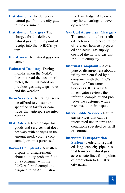Distribution - The delivery of natural gas from the city gate to the consumer.

Distribution Charges - The charges for the delivery of natural gas from the point of receipt into the NGDC's system.

End-User - The natural gas consumer.

Estimated Reading - During months when the NGDC does not read the customer's meter, the bill is based on previous gas usage, gas rates and the weather.

Firm Service - Natural gas service offered to consumers specified in tariffs or contracts that anticipate no interruption.

Flat Rate - A fixed charge for goods and services that does not vary with changes in the amount used, volume consumed, or units purchased.

Formal Complaint - A written dispute or disagreement about a utility problem filed by a consumer with the PUC. A formal complaint is assigned to an Administrative Law Judge (ALJ) who may hold hearings to develop a record.

#### Gas Cost Adjustment Charges -

The amount billed or credited each month to account for differences between projected and actual gas supply costs of the natural gas distribution company.

Informal Complaint - A dispute or disagreement about a utility problem filed by a consumer with the PUC's Bureau of Consumer Services (BCS). A BCS investigator reviews the informal complaint and provides the customer with a response to their dispute.

Interruptible Service - Natural gas services that can be interrupted under terms and conditions specified by tariff or contract.

#### Interstate Transportation

System - Federally regulated, large capacity pipelines that transport natural gas across state lines from points of production to NGDCs' city gates.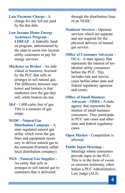Late Payment Charge - A charge for any bill not paid by the due date.

Low Income Home Energy Assistance Program -

LIHEAP - A federally funded program, administered by the state to assist low income utility customers to pay for energy services.

Marketer or Broker - An individual or business, licensed by the PUC that sells or arranges to sell natural gas. The difference between marketers and brokers is that marketers own the gas they sell, while brokers do not.

Mcf - 1,000 cubic feet of gas. This is a measure of gas usage.

NGDC - Natural Gas Distribution Company - A state regulated natural gas utility which owns the gas lines and equipment necessary to deliver natural gas to the consumer (Formerly called local distribution company).

NGS - Natural Gas Supplier -

An entity that sells or arranges to sell natural gas to customers that is delivered

through the distribution lines of an NGDC.

Nonbasic Services - Optional services which are separate and not required for the physical delivery of natural gas service.

Office of Consumer Advocate -

OCA - A state agency that represents the interest of residential utility consumers before the PUC. This includes rate and service cases before other state and federal regulatory agencies and courts.

Office of Small Business Advocate - OSBA - A state agency that represents the interest of small business consumers. They participate in PUC rate cases and other state and federal regulatory cases.

Open Market - Competition is allowed.

#### Public Input Hearings -

Meetings where consumers provide input to the PUC. This is in the form of sworn or unsworn testimony, often before a PUC Administrative Law Judge (ALJ).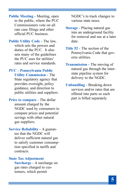Public Meeting - Meeting, open to the public, where the PUC Commissioners vote on all rate case filings and other official PUC business.

Public Utility Code - The law, which sets the powers and duties of the PUC. It also sets many of the guidelines the PUC uses for utilities' rates and service standards.

#### PUC - Pennsylvania Public

Utility Commission - The State regulatory agency that provides oversight, policy guidance, and direction to public utilities and suppliers.

Price to compare - The dollar amount charged by the NGDC used by consumers to compare prices and potential savings with other natural gas suppliers.

Service Reliability - A guarantee that the NGDC will deliver sufficient natural gas to satisfy customer consumption specified in tariffs and contracts.

#### State Tax Adjustment

Surcharge - A surcharge on gas rates charged to customers, which permit

NGDC's to track changes to various state taxes.

- Storage Placing natural gas into an underground facility for removal and use at a later date.
- Title 52 The section of the Pennsylvania Code that governs utilities.
- Transmission The moving of natural gas through the interstate pipeline system for delivery to the NGDC.
- Unbundling Breaking down services and/or rates that are offered into parts so each part is billed separately.